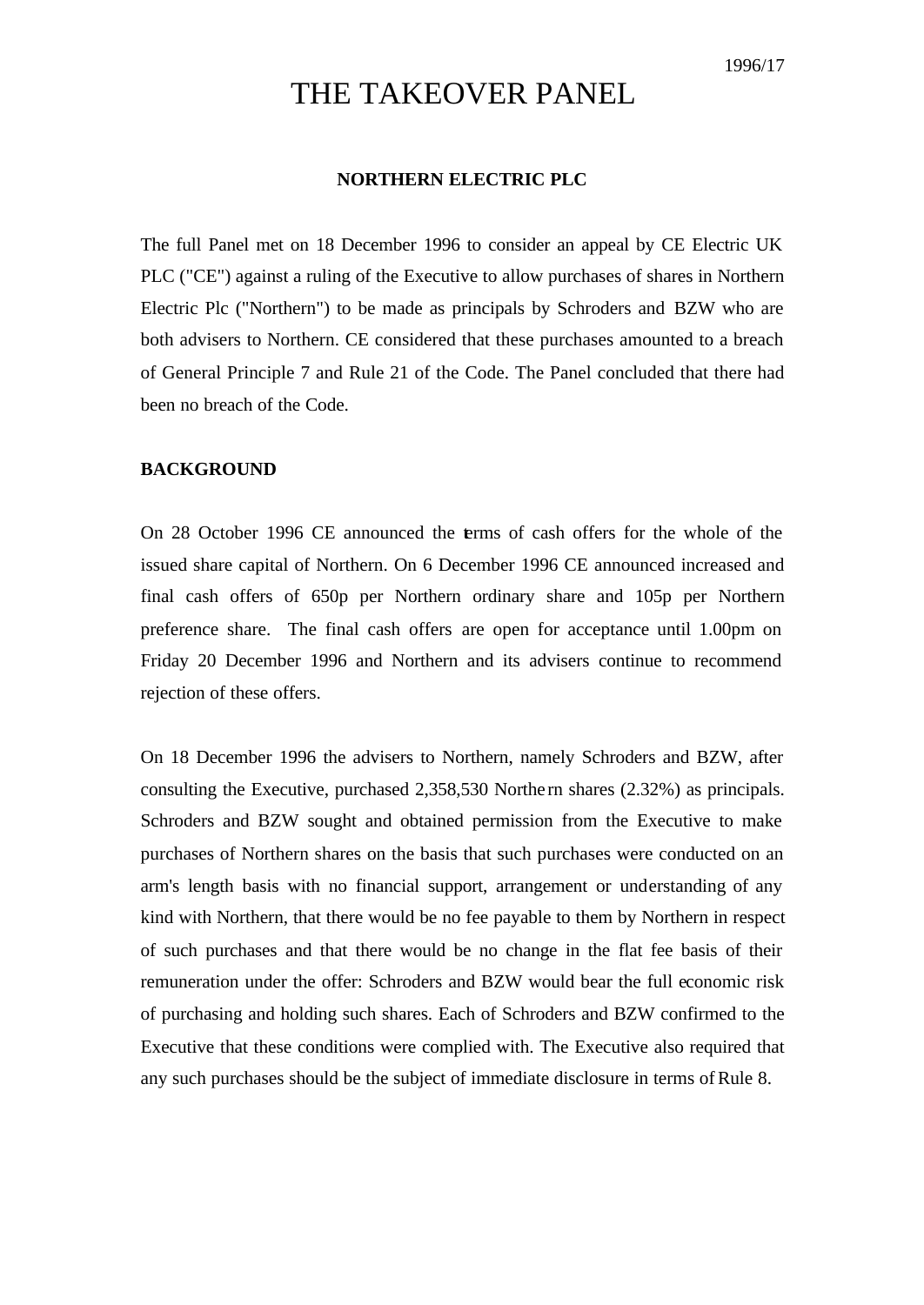## THE TAKEOVER PANEL

## **NORTHERN ELECTRIC PLC**

The full Panel met on 18 December 1996 to consider an appeal by CE Electric UK PLC ("CE") against a ruling of the Executive to allow purchases of shares in Northern Electric Plc ("Northern") to be made as principals by Schroders and BZW who are both advisers to Northern. CE considered that these purchases amounted to a breach of General Principle 7 and Rule 21 of the Code. The Panel concluded that there had been no breach of the Code.

## **BACKGROUND**

On 28 October 1996 CE announced the terms of cash offers for the whole of the issued share capital of Northern. On 6 December 1996 CE announced increased and final cash offers of 650p per Northern ordinary share and 105p per Northern preference share. The final cash offers are open for acceptance until 1.00pm on Friday 20 December 1996 and Northern and its advisers continue to recommend rejection of these offers.

On 18 December 1996 the advisers to Northern, namely Schroders and BZW, after consulting the Executive, purchased 2,358,530 Northe rn shares (2.32%) as principals. Schroders and BZW sought and obtained permission from the Executive to make purchases of Northern shares on the basis that such purchases were conducted on an arm's length basis with no financial support, arrangement or understanding of any kind with Northern, that there would be no fee payable to them by Northern in respect of such purchases and that there would be no change in the flat fee basis of their remuneration under the offer: Schroders and BZW would bear the full economic risk of purchasing and holding such shares. Each of Schroders and BZW confirmed to the Executive that these conditions were complied with. The Executive also required that any such purchases should be the subject of immediate disclosure in terms of Rule 8.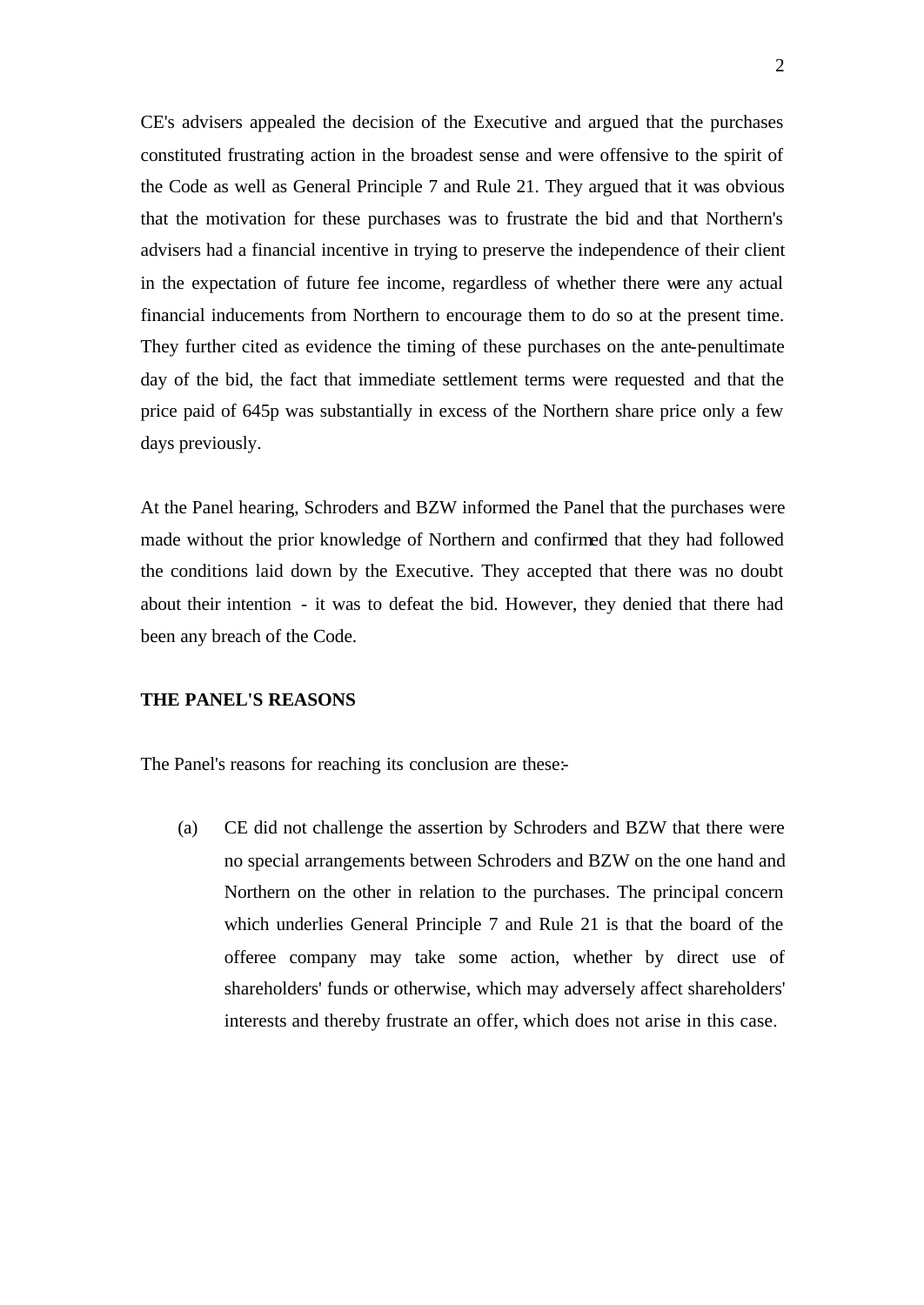CE's advisers appealed the decision of the Executive and argued that the purchases constituted frustrating action in the broadest sense and were offensive to the spirit of the Code as well as General Principle 7 and Rule 21. They argued that it was obvious that the motivation for these purchases was to frustrate the bid and that Northern's advisers had a financial incentive in trying to preserve the independence of their client in the expectation of future fee income, regardless of whether there were any actual financial inducements from Northern to encourage them to do so at the present time. They further cited as evidence the timing of these purchases on the ante-penultimate day of the bid, the fact that immediate settlement terms were requested and that the price paid of 645p was substantially in excess of the Northern share price only a few days previously.

At the Panel hearing, Schroders and BZW informed the Panel that the purchases were made without the prior knowledge of Northern and confirmed that they had followed the conditions laid down by the Executive. They accepted that there was no doubt about their intention - it was to defeat the bid. However, they denied that there had been any breach of the Code.

## **THE PANEL'S REASONS**

The Panel's reasons for reaching its conclusion are these:-

(a) CE did not challenge the assertion by Schroders and BZW that there were no special arrangements between Schroders and BZW on the one hand and Northern on the other in relation to the purchases. The principal concern which underlies General Principle 7 and Rule 21 is that the board of the offeree company may take some action, whether by direct use of shareholders' funds or otherwise, which may adversely affect shareholders' interests and thereby frustrate an offer, which does not arise in this case.